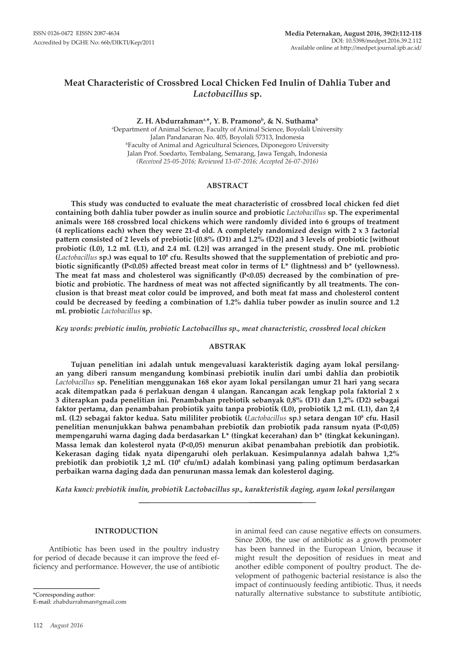# **Meat Characteristic of Crossbred Local Chicken Fed Inulin of Dahlia Tuber and**  *Lactobacillus* **sp.**

Z. H. Abdurrahman<sup>a,\*</sup>, Y. B. Pramono<sup>b</sup>, & N. Suthama<sup>b</sup>

a Department of Animal Science, Faculty of Animal Science, Boyolali University Jalan Pandanaran No. 405, Boyolali 57313, Indonesia b Faculty of Animal and Agricultural Sciences, Diponegoro University Jalan Prof. Soedarto, Tembalang, Semarang, Jawa Tengah, Indonesia *(Received 25-05-2016; Reviewed 13-07-2016; Accepted 26-07-2016)*

## **ABSTRACT**

**This study was conducted to evaluate the meat characteristic of crossbred local chicken fed diet containing both dahlia tuber powder as inulin source and probiotic** *Lactobacillus* **sp. The experimental animals were 168 crossbred local chickens which were randomly divided into 6 groups of treatment (4 replications each) when they were 21-d old. A completely randomized design with 2 x 3 factorial pattern consisted of 2 levels of prebiotic [(0.8% (D1) and 1.2% (D2)] and 3 levels of probiotic [without probiotic (L0), 1.2 mL (L1), and 2.4 mL (L2)] was arranged in the present study. One mL probiotic (***Lactobacillus* **sp.) was equal to 108 cfu. Results showed that the supplementation of prebiotic and probiotic significantly (P<0.05) affected breast meat color in terms of L\* (lightness) and b\* (yellowness). The meat fat mass and cholesterol was significantly (P<0.05) decreased by the combination of prebiotic and probiotic. The hardness of meat was not affected significantly by all treatments. The conclusion is that breast meat color could be improved, and both meat fat mass and cholesterol content could be decreased by feeding a combination of 1.2% dahlia tuber powder as inulin source and 1.2 mL probiotic** *Lactobacillus* **sp.** 

*Key words: prebiotic inulin, probiotic Lactobacillus sp., meat characteristic, crossbred local chicken*

#### **ABSTRAK**

**Tujuan penelitian ini adalah untuk mengevaluasi karakteristik daging ayam lokal persilangan yang diberi ransum mengandung kombinasi prebiotik inulin dari umbi dahlia dan probiotik**  *Lactobacillus* **sp. Penelitian menggunakan 168 ekor ayam lokal persilangan umur 21 hari yang secara acak ditempatkan pada 6 perlakuan dengan 4 ulangan. Rancangan acak lengkap pola faktorial 2 x 3 diterapkan pada penelitian ini. Penambahan prebiotik sebanyak 0,8% (D1) dan 1,2% (D2) sebagai faktor pertama, dan penambahan probiotik yaitu tanpa probiotik (L0), probiotik 1,2 mL (L1), dan 2,4 mL (L2) sebagai faktor kedua. Satu mililiter probiotik (***Lactobacillus* **sp.) setara dengan 108 cfu. Hasil penelitian menunjukkan bahwa penambahan prebiotik dan probiotik pada ransum nyata (P<0,05) mempengaruhi warna daging dada berdasarkan L\* (tingkat kecerahan) dan b\* (tingkat kekuningan). Massa lemak dan kolesterol nyata (P<0,05) menurun akibat penambahan prebiotik dan probiotik. Kekerasan daging tidak nyata dipengaruhi oleh perlakuan. Kesimpulannya adalah bahwa 1,2% prebiotik dan probiotik 1,2 mL (108 cfu/mL) adalah kombinasi yang paling optimum berdasarkan perbaikan warna daging dada dan penurunan massa lemak dan kolesterol daging.**

*Kata kunci: prebiotik inulin, probiotik Lactobacillus sp., karakteristik daging, ayam lokal persilangan*

#### **INTRODUCTION**

Antibiotic has been used in the poultry industry for period of decade because it can improve the feed efficiency and performance. However, the use of antibiotic

in animal feed can cause negative effects on consumers. Since 2006, the use of antibiotic as a growth promoter has been banned in the European Union, because it might result the deposition of residues in meat and another edible component of poultry product. The development of pathogenic bacterial resistance is also the impact of continuously feeding antibiotic. Thus, it needs naturally alternative substance to substitute antibiotic,

\*Corresponding author: E-mail: zhabdurrahman@gmail.com

<sup>112</sup> *August 2016*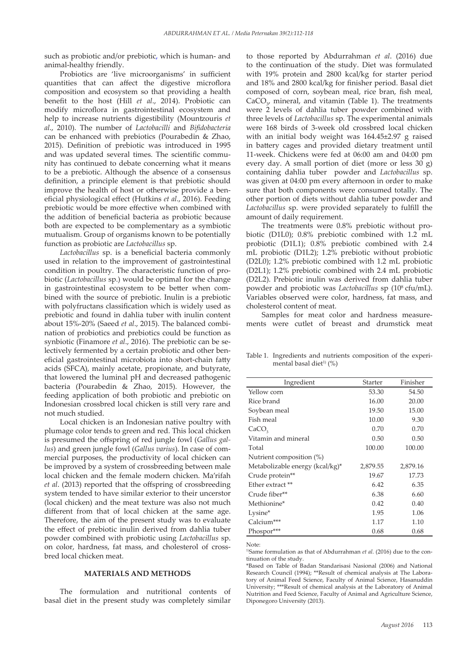such as probiotic and/or prebiotic, which is human- and animal-healthy friendly.

Probiotics are 'live microorganisms' in sufficient quantities that can affect the digestive microflora composition and ecosystem so that providing a health benefit to the host (Hill *et al*., 2014). Probiotic can modify microflora in gastrointestinal ecosystem and help to increase nutrients digestibility (Mountzouris *et al*., 2010). The number of *Lactobacilli* and *Bifidobacteria* can be enhanced with prebiotics (Pourabedin & Zhao, 2015). Definition of prebiotic was introduced in 1995 and was updated several times. The scientific community has continued to debate concerning what it means to be a prebiotic. Although the absence of a consensus definition, a principle element is that prebiotic should improve the health of host or otherwise provide a beneficial physiological effect (Hutkins *et al*., 2016). Feeding prebiotic would be more effective when combined with the addition of beneficial bacteria as probiotic because both are expected to be complementary as a symbiotic mutualism. Group of organisms known to be potentially function as probiotic are *Lactobacillus* sp.

*Lactobacillus* sp. is a beneficial bacteria commonly used in relation to the improvement of gastrointestinal condition in poultry. The characteristic function of probiotic (*Lactobacillus* sp.) would be optimal for the change in gastrointestinal ecosystem to be better when combined with the source of prebiotic. Inulin is a prebiotic with polyfructans classification which is widely used as prebiotic and found in dahlia tuber with inulin content about 15%-20% (Saeed *et al*., 2015). The balanced combination of probiotics and prebiotics could be function as synbiotic (Finamore *et al*., 2016). The prebiotic can be selectively fermented by a certain probiotic and other beneficial gastrointestinal microbiota into short-chain fatty acids (SFCA), mainly acetate, propionate, and butyrate, that lowered the luminal pH and decreased pathogenic bacteria (Pourabedin & Zhao, 2015). However, the feeding application of both probiotic and prebiotic on Indonesian crossbred local chicken is still very rare and not much studied.

Local chicken is an Indonesian native poultry with plumage color tends to green and red. This local chicken is presumed the offspring of red jungle fowl (*Gallus gallus*) and green jungle fowl (*Gallus varius*). In case of commercial purposes, the productivity of local chicken can be improved by a system of crossbreeding between male local chicken and the female modern chicken. Ma'rifah *et al*. (2013) reported that the offspring of crossbreeding system tended to have similar exterior to their uncerstor (local chicken) and the meat texture was also not much different from that of local chicken at the same age. Therefore, the aim of the present study was to evaluate the effect of prebiotic inulin derived from dahlia tuber powder combined with probiotic using *Lactobacillus* sp. on color, hardness, fat mass, and cholesterol of crossbred local chicken meat.

## **MATERIALS AND METHODS**

The formulation and nutritional contents of basal diet in the present study was completely similar to those reported by Abdurrahman *et al*. (2016) due to the continuation of the study. Diet was formulated with 19% protein and 2800 kcal/kg for starter period and 18% and 2800 kcal/kg for finisher period. Basal diet composed of corn, soybean meal, rice bran, fish meal,  $CaCO<sub>3</sub>$  mineral, and vitamin (Table 1). The treatments were 2 levels of dahlia tuber powder combined with three levels of *Lactobacillus* sp. The experimental animals were 168 birds of 3-week old crossbred local chicken with an initial body weight was 164.45±2.97 g raised in battery cages and provided dietary treatment until 11-week. Chickens were fed at 06:00 am and 04:00 pm every day. A small portion of diet (more or less 30 g) containing dahlia tuber powder and *Lactobacillus* sp. was given at 04:00 pm every afternoon in order to make sure that both components were consumed totally. The other portion of diets without dahlia tuber powder and *Lactobacillus* sp. were provided separately to fulfill the amount of daily requirement.

The treatments were 0.8% prebiotic without probiotic (D1L0); 0.8% prebiotic combined with 1.2 mL probiotic (D1L1); 0.8% prebiotic combined with 2.4 mL probiotic (D1L2); 1.2% prebiotic without probiotic (D2L0); 1.2% prebiotic combined with 1.2 mL probiotic (D2L1); 1.2% prebiotic combined with 2.4 mL probiotic (D2L2). Prebiotic inulin was derived from dahlia tuber powder and probiotic was *Lactobacillus* sp (108 cfu/mL). Variables observed were color, hardness, fat mass, and cholesterol content of meat.

Samples for meat color and hardness measurements were cutlet of breast and drumstick meat

Table 1. Ingredients and nutrients composition of the experimental basal diet<sup>1)</sup>  $(\%)$ 

| Ingredient                      | Starter  | Finisher |
|---------------------------------|----------|----------|
| Yellow corn                     | 53.30    | 54.50    |
| Rice brand                      | 16.00    | 20.00    |
| Soybean meal                    | 19.50    | 15.00    |
| Fish meal                       | 10.00    | 9.30     |
| CaCO                            | 0.70     | 0.70     |
| Vitamin and mineral             | 0.50     | 0.50     |
| Total                           | 100.00   | 100.00   |
| Nutrient composition (%)        |          |          |
| Metabolizable energy (kcal/kg)* | 2,879.55 | 2,879.16 |
| Crude protein**                 | 19.67    | 17.73    |
| Ether extract **                | 6.42     | 6.35     |
| Crude fiber**                   | 6.38     | 6.60     |
| Methionine*                     | 0.42     | 0.40     |
| Lysine*                         | 1.95     | 1.06     |
| Calcium***                      | 1.17     | 1.10     |
| Phospor***                      | 0.68     | 0.68     |

Note:

<sup>1)</sup>Same formulation as that of Abdurrahman *et al.* (2016) due to the continuation of the study.

\*Based on Table of Badan Standarisasi Nasional (2006) and National Research Council (1994); \*\*Result of chemical analysis at The Laboratory of Animal Feed Science, Faculty of Animal Science, Hasanuddin University; \*\*\*Result of chemical analysis at the Laboratory of Animal Nutrition and Feed Science, Faculty of Animal and Agriculture Science, Diponegoro University (2013).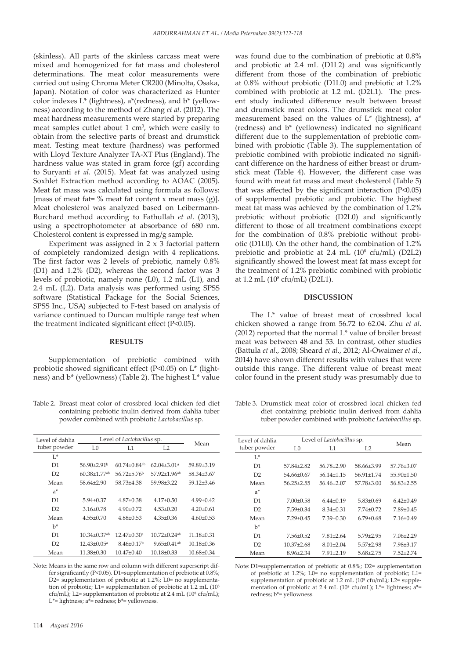(skinless). All parts of the skinless carcass meat were mixed and homogenized for fat mass and cholesterol determinations. The meat color measurements were carried out using Chroma Meter CR200 (Minolta, Osaka, Japan). Notation of color was characterized as Hunter color indexes L\* (lightness), a\*(redness), and b\* (yellowness) according to the method of Zhang *et al*. (2012). The meat hardness measurements were started by preparing meat samples cutlet about 1 cm<sup>3</sup>, which were easily to obtain from the selective parts of breast and drumstick meat. Testing meat texture (hardness) was performed with Lloyd Texture Analyzer TA-XT Plus (England). The hardness value was stated in gram force (gf) according to Suryanti *et al*. (2015). Meat fat was analyzed using Soxhlet Extraction method according to AOAC (2005). Meat fat mass was calculated using formula as follows: [mass of meat fat=  $\%$  meat fat content x meat mass (g)]. Meat cholesterol was analyzed based on Leibermann-Burchard method according to Fathullah *et al*. (2013), using a spectrophotometer at absorbance of 680 nm. Cholesterol content is expressed in mg/g sample.

Experiment was assigned in 2 x 3 factorial pattern of completely randomized design with 4 replications. The first factor was 2 levels of prebiotic, namely 0.8% (D1) and 1.2% (D2), whereas the second factor was 3 levels of probiotic, namely none (L0), 1.2 mL (L1), and 2.4 mL (L2). Data analysis was performed using SPSS software (Statistical Package for the Social Sciences, SPSS Inc., USA) subjected to F-test based on analysis of variance continued to Duncan multiple range test when the treatment indicated significant effect (P<0.05).

#### **RESULTS**

Supplementation of prebiotic combined with probiotic showed significant effect (P<0.05) on L\* (lightness) and b\* (yellowness) (Table 2). The highest L\* value

Table 2. Breast meat color of crossbred local chicken fed diet containing prebiotic inulin derived from dahlia tuber powder combined with probiotic *Lactobacillus* sp.

| Level of dahlia | Level of <i>Lactobacillus</i> sp. |                                |                                | Mean             |
|-----------------|-----------------------------------|--------------------------------|--------------------------------|------------------|
| tuber powder    | L0                                | L1                             | L <sub>2</sub>                 |                  |
| $L^*$           |                                   |                                |                                |                  |
| D1              | $56.90+2.91b$                     | $60.74 \pm 0.84$ <sup>ab</sup> | $62.04 \pm 3.01$ <sup>a</sup>  | $59.89 \pm 3.19$ |
| D2              | $60.38 + 1.77$ <sup>ab</sup>      | $56.72 + 5.76$                 | $57.92 \pm 1.96$ <sup>ab</sup> | 58.34±3.67       |
| Mean            | 58.64 + 2.90                      | 58.73±4.38                     | $59.98 \pm 3.22$               | $59.12 + 3.46$   |
| a*              |                                   |                                |                                |                  |
| D1              | $5.94 \pm 0.37$                   | $4.87 \pm 0.38$                | $4.17 \pm 0.50$                | $4.99 \pm 0.42$  |
| D2              | $3.16 \pm 0.78$                   | $4.90 \pm 0.72$                | $4.53 \pm 0.20$                | $4.20 \pm 0.61$  |
| Mean            | $4.55 \pm 0.70$                   | $4.88 \pm 0.53$                | $4.35 \pm 0.36$                | $4.60\pm0.53$    |
| b*              |                                   |                                |                                |                  |
| D1              | $10.34 \pm 0.37$ <sup>ab</sup>    | $12.47 \pm 0.30$ <sup>a</sup>  | $1072+024$ <sup>ab</sup>       | $11.18 \pm 0.31$ |
| D2              | $12.43 \pm 0.05^{\text{a}}$       | $8.46\pm0.17b$                 | $9.65 \pm 0.41$ <sup>ab</sup>  | $10.18 \pm 0.36$ |
| Mean            | $11.38 \pm 0.30$                  | $10.47{\pm}0.40$               | $10.18 \pm 0.33$               | $10.68 \pm 0.34$ |

Note: Means in the same row and column with different superscript differ significantly (P<0.05). D1=supplementation of prebiotic at 0.8%; D2= supplementation of prebiotic at 1.2%; L0= no supplementation of probiotic; L1= supplementation of probiotic at  $1.2$  mL ( $10<sup>8</sup>$ cfu/mL); L2= supplementation of probiotic at 2.4 mL (10<sup>8</sup> cfu/mL); L\*= lightness;  $a^*$ = redness;  $b^*$ = yellowness.

was found due to the combination of prebiotic at 0.8% and probiotic at 2.4 mL (D1L2) and was significantly different from those of the combination of prebiotic at 0.8% without probiotic (D1L0) and prebiotic at 1.2% combined with probiotic at 1.2 mL (D2L1). The present study indicated difference result between breast and drumstick meat colors. The drumstick meat color measurement based on the values of L\* (lightness), a\* (redness) and b\* (yellowness) indicated no significant different due to the supplementation of prebiotic combined with probiotic (Table 3). The supplementation of prebiotic combined with probiotic indicated no significant difference on the hardness of either breast or drumstick meat (Table 4). However, the different case was found with meat fat mass and meat cholesterol (Table 5) that was affected by the significant interaction (P<0.05) of supplemental prebiotic and probiotic. The highest meat fat mass was achieved by the combination of 1.2% prebiotic without probiotic (D2L0) and significantly different to those of all treatment combinations except for the combination of 0.8% prebiotic without probiotic (D1L0). On the other hand, the combination of 1.2% prebiotic and probiotic at 2.4 mL  $(10^8 \text{ cftu/mL})$  (D2L2) significantly showed the lowest meat fat mass except for the treatment of 1.2% prebiotic combined with probiotic at 1.2 mL (10<sup>8</sup> cfu/mL) (D2L1).

### **DISCUSSION**

The L\* value of breast meat of crossbred local chicken showed a range from 56.72 to 62.04. Zhu *et al*. (2012) reported that the normal L\* value of broiler breast meat was between 48 and 53. In contrast, other studies (Battula *et al*., 2008; Sheard *et al*., 2012; Al-Owaimer *et al*., 2014) have shown different results with values that were outside this range. The different value of breast meat color found in the present study was presumably due to

Table 3. Drumstick meat color of crossbred local chicken fed diet containing prebiotic inulin derived from dahlia tuber powder combined with probiotic *Lactobacillus* sp.

| Level of dahlia | Level of <i>Lactobacillus</i> sp. |                  |                  | Mean             |
|-----------------|-----------------------------------|------------------|------------------|------------------|
| tuber powder    | L <sub>0</sub>                    | L1               | L <sub>2</sub>   |                  |
| $L^*$           |                                   |                  |                  |                  |
| D1              | $57.84 + 2.82$                    | $56.78 \pm 2.90$ | 58.66±3.99       | 57.76±3.07       |
| D2              | $54.66\pm0.67$                    | $56.14 \pm 1.15$ | $56.91 \pm 1.74$ | $55.90 \pm 1.50$ |
| Mean            | $56.25 \pm 2.55$                  | 56 46+2 07       | $57.78 \pm 3.00$ | $56.83 \pm 2.55$ |
| $a^*$           |                                   |                  |                  |                  |
| D1              | $7.00 \pm 0.58$                   | $6.44 \pm 0.19$  | $5.83 \pm 0.69$  | $6.42 \pm 0.49$  |
| D2              | $7.59 \pm 0.34$                   | $8.34 \pm 0.31$  | $7.74 \pm 0.72$  | $7.89 \pm 0.45$  |
| Mean            | $7.29 \pm 0.45$                   | $7.39 \pm 0.30$  | $6.79 \pm 0.68$  | $7.16 \pm 0.49$  |
| $h^*$           |                                   |                  |                  |                  |
| D1              | $7.56 \pm 0.52$                   | $7.81 \pm 2.64$  | $5.79 \pm 2.95$  | $7.06 \pm 2.29$  |
| D2              | $10.37 + 2.68$                    | $8.01 \pm 2.04$  | $5.57+2.98$      | $7.98 \pm 3.17$  |
| Mean            | $8.96\pm2.34$                     | $7.91 + 2.19$    | $5.68 \pm 2.75$  | $7.52 + 2.74$    |

Note: D1=supplementation of prebiotic at 0.8%; D2= supplementation of prebiotic at  $1.2\%$ ; L0= no supplementation of probiotic; L1= supplementation of probiotic at  $1.2$  mL ( $10<sup>8</sup>$  cfu/mL); L2= supplementation of probiotic at 2.4 mL ( $10^8$  cfu/mL); L\*= lightness; a\*= redness; b\*= yellowness.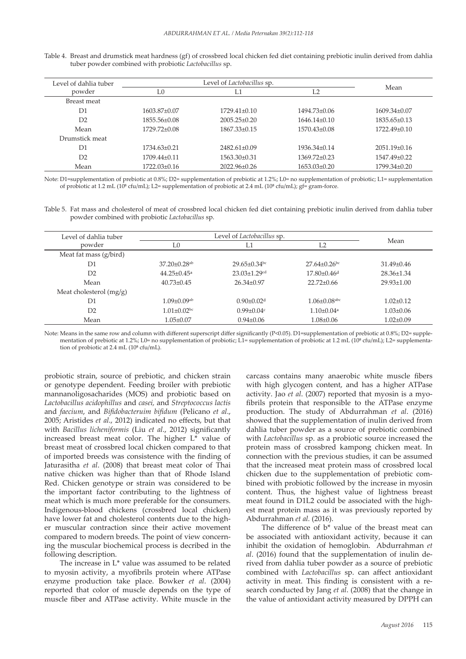| Level of dahlia tuber | Level of Lactobacillus sp. |                    |                  |                  |
|-----------------------|----------------------------|--------------------|------------------|------------------|
| powder                | L0                         | L1                 | L2               | Mean             |
| Breast meat           |                            |                    |                  |                  |
| D <sub>1</sub>        | $1603.87\pm0.07$           | $1729.41 \pm 0.10$ | $1494.73\pm0.06$ | $1609.34\pm0.07$ |
| D2                    | $1855.56\pm0.08$           | $2005.25 \pm 0.20$ | $1646.14\pm0.10$ | $1835.65\pm0.13$ |
| Mean                  | $1729.72\pm0.08$           | $1867.33\pm0.15$   | $1570.43\pm0.08$ | $1722.49\pm0.10$ |
| Drumstick meat        |                            |                    |                  |                  |
| D <sub>1</sub>        | 1734 63+0.21               | $2482.61 \pm 0.09$ | 1936 34+0.14     | $2051.19 + 0.16$ |
| D2                    | $1709.44\pm0.11$           | $1563.30\pm0.31$   | $1369.72\pm0.23$ | 1547.49±0.22     |
| Mean                  | $1722.03\pm0.16$           | $2022.96\pm0.26$   | $1653.03\pm0.20$ | 1799.34±0.20     |

Table 4. Breast and drumstick meat hardness (gf) of crossbred local chicken fed diet containing prebiotic inulin derived from dahlia tuber powder combined with probiotic *Lactobacillus* sp.

Note: D1=supplementation of prebiotic at 0.8%; D2= supplementation of prebiotic at 1.2%; L0= no supplementation of probiotic; L1= supplementation of probiotic at 1.2 mL ( $10^8$  cfu/mL); L2= supplementation of probiotic at 2.4 mL ( $10^8$  cfu/mL); gf= gram-force.

Table 5. Fat mass and cholesterol of meat of crossbred local chicken fed diet containing prebiotic inulin derived from dahlia tuber powder combined with probiotic *Lactobacillus* sp.

| Level of dahlia tuber     | Level of <i>Lactobacillus</i> sp. |                                |                                | Mean             |
|---------------------------|-----------------------------------|--------------------------------|--------------------------------|------------------|
| powder                    | L0                                | L1                             | L <sub>2</sub>                 |                  |
| Meat fat mass (g/bird)    |                                   |                                |                                |                  |
| D1                        | $37.20 \pm 0.28$ <sup>ab</sup>    | $29.65 \pm 0.34$ bc            | $27.64 \pm 0.26$ bc            | $31.49\pm0.46$   |
| D2                        | $44.25 \pm 0.45$ <sup>a</sup>     | $23.03 \pm 1.29$ <sup>cd</sup> | $17.80\pm0.46d$                | 28.36±1.34       |
| Mean                      | $40.73 \pm 0.45$                  | $26.34\pm0.97$                 | $22.72 \pm 0.66$               | $29.93 \pm 1.00$ |
| Meat cholesterol $(mg/g)$ |                                   |                                |                                |                  |
| D1                        | $1.09 \pm 0.09$ <sup>ab</sup>     | $0.90 \pm 0.02$ <sup>d</sup>   | $1.06 \pm 0.08$ <sup>abc</sup> | $1.02 \pm 0.12$  |
| D2                        | $1.01 \pm 0.02$ bc                | $0.99 \pm 0.04$ c              | $1.10 \pm 0.04$ <sup>a</sup>   | $1.03 \pm 0.06$  |
| Mean                      | $1.05 \pm 0.07$                   | $0.94 \pm 0.06$                | $1.08 \pm 0.06$                | $1.02 \pm 0.09$  |

Note: Means in the same row and column with different superscript differ significantly (P<0.05). D1=supplementation of prebiotic at 0.8%; D2=supplementation of prebiotic at 1.2%; L0= no supplementation of probiotic; L1= supplementation of probiotic at 1.2 mL (10<sup>8</sup> cfu/mL); L2= supplementation of probiotic at 2.4 mL (10<sup>8</sup> cfu/mL).

probiotic strain, source of prebiotic, and chicken strain or genotype dependent. Feeding broiler with prebiotic mannanoligosacharides (MOS) and probiotic based on *Lactobacillus acidophillus* and *casei,* and *Streptococcus lactis* and *faecium*, and *Bifidobacteruim bifidum* (Pelicano *et al*., 2005; Aristides *et al*., 2012) indicated no effects, but that with *Bacillus licheniformis* (Liu *et al*., 2012) significantly increased breast meat color. The higher L\* value of breast meat of crossbred local chicken compared to that of imported breeds was consistence with the finding of Jaturasitha *et al*. (2008) that breast meat color of Thai native chicken was higher than that of Rhode Island Red. Chicken genotype or strain was considered to be the important factor contributing to the lightness of meat which is much more preferable for the consumers. Indigenous-blood chickens (crossbred local chicken) have lower fat and cholesterol contents due to the higher muscular contraction since their active movement compared to modern breeds. The point of view concerning the muscular biochemical process is decribed in the following description.

The increase in L\* value was assumed to be related to myosin activity, a myofibrils protein where ATPase enzyme production take place. Bowker *et al*. (2004) reported that color of muscle depends on the type of muscle fiber and ATPase activity. White muscle in the carcass contains many anaerobic white muscle fibers with high glycogen content, and has a higher ATPase activity. Jao *et al*. (2007) reported that myosin is a myofibrils protein that responsible to the ATPase enzyme production. The study of Abdurrahman *et al*. (2016) showed that the supplementation of inulin derived from dahlia tuber powder as a source of prebiotic combined with *Lactobacillus* sp. as a probiotic source increased the protein mass of crossbred kampong chicken meat. In connection with the previous studies, it can be assumed that the increased meat protein mass of crossbred local chicken due to the supplementation of prebiotic combined with probiotic followed by the increase in myosin content. Thus, the highest value of lightness breast meat found in D1L2 could be associated with the highest meat protein mass as it was previously reported by Abdurrahman *et al.* (2016).

The difference of b\* value of the breast meat can be associated with antioxidant activity, because it can inhibit the oxidation of hemoglobin. Abdurrahman *et al*. (2016) found that the supplementation of inulin derived from dahlia tuber powder as a source of prebiotic combined with *Lactobacillus* sp. can affect antioxidant activity in meat. This finding is consistent with a research conducted by Jang *et al*. (2008) that the change in the value of antioxidant activity measured by DPPH can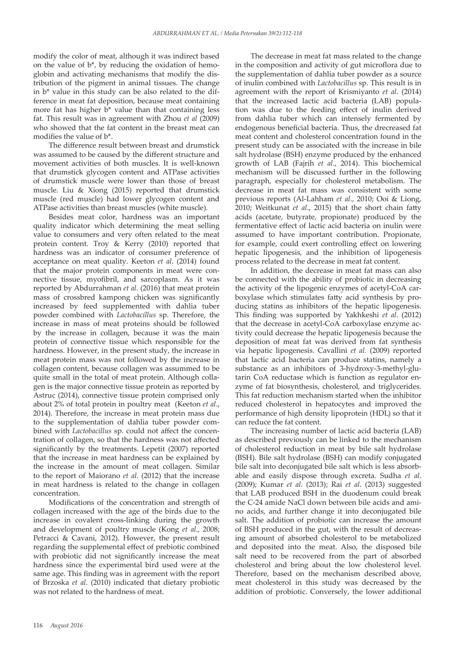modify the color of meat, although it was indirect based on the value of b\*, by reducing the oxidation of hemoglobin and activating mechanisms that modify the distribution of the pigment in animal tissues. The change in b\* value in this study can be also related to the difference in meat fat deposition, because meat containing more fat has higher b\* value than that containing less fat. This result was in agreement with Zhou *et al* (2009) who showed that the fat content in the breast meat can modifies the value of b\*.

The difference result between breast and drumstick was assumed to be caused by the different structure and movement activities of both muscles. It is well-known that drumstick glycogen content and ATPase activities of drumstick muscle were lower than those of breast muscle. Liu & Xiong (2015) reported that drumstick muscle (red muscle) had lower glycogen content and ATPase activities than breast muscles (white muscle).

Besides meat color, hardness was an important quality indicator which determining the meat selling value to consumers and very often related to the meat protein content. Troy & Kerry (2010) reported that hardness was an indicator of consumer preference of acceptance on meat quality. Keeton *et al*. (2014) found that the major protein components in meat were connective tissue, myofibril, and sarcoplasm. As it was reported by Abdurrahman *et al*. (2016) that meat protein mass of crossbred kampong chicken was significantly increased by feed supplemented with dahlia tuber powder combined with *Lactobacillus* sp. Therefore, the increase in mass of meat proteins should be followed by the increase in collagen, because it was the main protein of connective tissue which responsible for the hardness. However, in the present study, the increase in meat protein mass was not followed by the increase in collagen content, because collagen was assummed to be quite small in the total of meat protein. Although collagen is the major connective tissue protein as reported by Astruc (2014), connective tissue protein comprised only about 2% of total protein in poultry meat (Keeton *et al*., 2014). Therefore, the increase in meat protein mass due to the supplementation of dahlia tuber powder combined with *Lactobacillus* sp. could not affect the concentration of collagen, so that the hardness was not affected significantly by the treatments. Lepetit (2007) reported that the increase in meat hardness can be explained by the increase in the amount of meat collagen. Similar to the report of Maiorano *et al*. (2012) that the increase in meat hardness is related to the change in collagen concentration.

Modifications of the concentration and strength of collagen increased with the age of the birds due to the increase in covalent cross-linking during the growth and development of poultry muscle (Kong *et al*., 2008; Petracci & Cavani, 2012). However, the present result regarding the supplemental effect of prebiotic combined with probiotic did not significantly increase the meat hardness since the experimental bird used were at the same age. This finding was in agreement with the report of Brzoska *et al*. (2010) indicated that dietary probiotic was not related to the hardness of meat.

The decrease in meat fat mass related to the change in the composition and activity of gut microflora due to the supplementation of dahlia tuber powder as a source of inulin combined with *Lactobacillus* sp. This result is in agreement with the report of Krismiyanto *et al*. (2014) that the increased lactic acid bacteria (LAB) population was due to the feeding effect of inulin derived from dahlia tuber which can intensely fermented by endogenous beneficial bacteria. Thus, the drecreased fat meat content and cholesterol concentration found in the present study can be associated with the increase in bile salt hydrolase (BSH) enzyme produced by the enhanced growth of LAB (Fajrih *et al*., 2014). This biochemical mechanism will be discussed further in the following paragraph, especially for cholesterol metabolism. The decrease in meat fat mass was consistent with some previous reports (Al-Lahham *et al*., 2010; Ooi & Liong, 2010; Weitkunat *et al*., 2015) that the short chain fatty acids (acetate, butyrate, propionate) produced by the fermentative effect of lactic acid bacteria on inulin were assumed to have important contribution. Propionate, for example, could exert controlling effect on lowering hepatic lipogenesis, and the inhibition of lipogenesis process related to the decrease in meat fat content.

In addition, the decrease in meat fat mass can also be connected with the ability of probiotic in decreasing the activity of the lipogenic enzymes of acetyl-CoA carboxylase which stimulates fatty acid synthesis by producing statins as inhibitors of the hepatic lipogenesis. This finding was supported by Yakhkeshi *et al*. (2012) that the decrease in acetyl-CoA carboxylase enzyme activity could decrease the hepatic lipogenesis because the deposition of meat fat was derived from fat synthesis via hepatic lipogenesis. Cavallini *et al*. (2009) reported that lactic acid bacteria can produce statins, namely a substance as an inhibitors of 3-hydroxy-3-methyl-glutarin CoA reductase which is function as regulator enzyme of fat biosynthesis, cholesterol, and triglycerides. This fat reduction mechanism started when the inhibitor reduced cholesterol in hepatocytes and improved the performance of high density lipoprotein (HDL) so that it can reduce the fat content.

The increasing number of lactic acid bacteria (LAB) as described previously can be linked to the mechanism of cholesterol reduction in meat by bile salt hydrolase (BSH). Bile salt hydrolase (BSH) can modify conjugated bile salt into deconjugated bile salt which is less absorbable and easily dispose through excreta. Sudha *et al*. (2009); Kumar *et al*. (2013); Rai *et al*. (2013) suggested that LAB produced BSH in the duodenum could break the C-24 amide NaCl down between bile acids and amino acids, and further change it into deconjugated bile salt. The addition of probiotic can increase the amount of BSH produced in the gut, with the result of decreasing amount of absorbed cholesterol to be metabolized and deposited into the meat. Also, the disposed bile salt need to be recovered from the part of absorbed cholesterol and bring about the low cholesterol level. Therefore, based on the mechanism described above, meat cholesterol in this study was decreased by the addition of probiotic. Conversely, the lower additional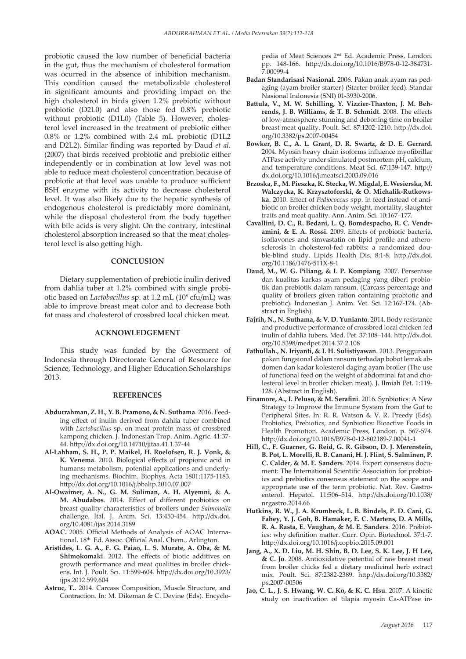probiotic caused the low number of beneficial bacteria in the gut, thus the mechanism of cholesterol formation was ocurred in the absence of inhibition mechanism. This condition caused the metabolizable cholesterol in significant amounts and providing impact on the high cholesterol in birds given 1.2% prebiotic without probiotic (D2L0) and also those fed 0.8% prebiotic without probiotic (D1L0) (Table 5). However, cholesterol level increased in the treatment of prebiotic either 0.8% or 1.2% combined with 2.4 mL probiotic (D1L2 and D2L2). Similar finding was reported by Daud *et al*. (2007) that birds received probiotic and prebiotic either independently or in combination at low level was not able to reduce meat cholesterol concentration because of probiotic at that level was unable to produce sufficient BSH enzyme with its activity to decrease cholesterol level. It was also likely due to the hepatic synthesis of endogenous cholesterol is predictably more dominant, while the disposal cholesterol from the body together with bile acids is very slight. On the contrary, intestinal cholesterol absorption increased so that the meat cholesterol level is also getting high.

### **CONCLUSION**

Dietary supplementation of prebiotic inulin derived from dahlia tuber at 1.2% combined with single probiotic based on *Lactobacillus* sp. at 1.2 mL (10<sup>8</sup> cfu/mL) was able to improve breast meat color and to decrease both fat mass and cholesterol of crossbred local chicken meat.

## **ACKNOWLEDGEMENT**

This study was funded by the Goverment of Indonesia through Directorate General of Resource for Science, Technology, and Higher Education Scholarships 2013.

#### **REFERENCES**

- **Abdurrahman, Z. H., Y. B. Pramono, & N. Suthama**. 2016. Feeding effect of inulin derived from dahlia tuber combined with *Lactobacillus* sp. on meat protein mass of crossbred kampong chicken. J. Indonesian Trop. Anim. Agric. 41:37- 44. http://dx.doi.org/10.14710/jitaa.41.1.37-44
- **Al-Lahham, S. H., P. P. Maikel, H. Roelofsen, R. J. Vonk, & K. Venema**. 2010. Biological effects of propionic acid in humans; metabolism, potential applications and underlying mechanisms. Biochim. Biophys. Acta 1801:1175-1183. http://dx.doi.org/10.1016/j.bbalip.2010.07.007
- **Al-Owaimer, A. N., G. M. Suliman, A. H. Alyemni, & A. M. Abudabos**. 2014. Effect of different probiotics on breast quality characteristics of broilers under *Salmonella* challenge. Ital. J. Anim. Sci. 13:450-454. http://dx.doi. org/10.4081/ijas.2014.3189
- **AOAC.** 2005. Official Methods of Analysis of AOAC International. 18<sup>th</sup> Ed. Assoc. Official Anal. Chem., Arlington.
- **Aristides, L. G. A., F. G. Paiao, L. S. Murate, A. Oba, & M. Shimokomaki**. 2012. The effects of biotic additives on growth performance and meat qualities in broiler chickens. Int. J. Poult. Sci. 11:599-604. http://dx.doi.org/10.3923/ ijps.2012.599.604
- **Astruc, T..** 2014. Carcass Composition, Muscle Structure, and Contraction. In: M. Dikeman & C. Devine (Eds). Encyclo-

pedia of Meat Sciences 2nd Ed. Academic Press, London. pp. 148-166. http://dx.doi.org/10.1016/B978-0-12-384731- 7.00099-4

- **Badan Standarisasi Nasional.** 2006. Pakan anak ayam ras pedaging (ayam broiler starter) (Starter broiler feed). Standar Nasional Indonesia (SNI) 01-3930-2006.
- **Battula, V., M. W. Schilling, Y. Vizzier-Thaxton, J. M. Behrends, J. B. Williams, & T. B. Schmidt**. 2008. The effects of low-atmosphere stunning and deboning time on broiler breast meat quality. Poult. Sci. 87:1202-1210. http://dx.doi. org/10.3382/ps.2007-00454
- **Bowker, B. C., A. L. Grant, D. R. Swartz, & D. E. Gerrard**. 2004. Myosin heavy chain isoforms influence myofibrillar ATPase activity under simulated postmortem pH, calcium, and temperature conditions. Meat Sci. 67:139-147. http:// dx.doi.org/10.1016/j.meatsci.2003.09.016
- **Brzoska, F., M. Pieszka, K. Stecka, W. Migdal, E. Wesierska, M. Walczycka, K. Krzysztoforski, & O. Michalik-Rutkowska**. 2010. Effect of *Pediococcus* spp. in feed instead of antibiotic on broiler chicken body weight, mortality, slaughter traits and meat quality. Ann. Anim. Sci. 10:167–177.
- **Cavallini, D. C., R. Bedani, L. Q. Bomdespacho, R. C. Vendramini, & E. A. Rossi**. 2009. Effects of probiotic bacteria, isoflavones and simvastatin on lipid profile and atherosclerosis in cholesterol-fed rabbits: a randomized double-blind study. Lipids Health Dis. 8:1-8. http://dx.doi. org/10.1186/1476-511X-8-1
- **Daud, M., W. G. Piliang, & I. P. Kompiang**. 2007. Persentase dan kualitas karkas ayam pedaging yang diberi probiotik dan prebiotik dalam ransum. (Carcass percentage and quality of broilers given ration containing probiotic and prebiotic). Indonesian J. Anim. Vet. Sci. 12:167-174. (Abstract in English).
- **Fajrih, N., N. Suthama, & V. D. Yunianto**. 2014. Body resistance and productive performance of crossbred local chicken fed inulin of dahlia tubers. Med. Pet. 37:108–144. http://dx.doi. org/10.5398/medpet.2014.37.2.108
- **Fathullah., N. Iriyanti, & I. H. Sulistiyawan**. 2013. Penggunaan pakan fungsional dalam ransum terhadap bobot lemak abdomen dan kadar kolesterol daging ayam broiler (The use of functional feed on the weight of abdominal fat and cholesterol level in broiler chicken meat). J. Ilmiah Pet. 1:119- 128. (Abstract in English).
- **Finamore, A., I. Peluso, & M. Serafini**. 2016. Synbiotics: A New Strategy to Improve the Immune System from the Gut to Peripheral Sites. In: R. R. Watson & V. R. Preedy (Eds). Probiotics, Prebiotics, and Synbiotics: Bioactive Foods in Health Promotion. Academic Press, London. p. 567-574. http://dx.doi.org/10.1016/B978-0-12-802189-7.00041-1
- **Hill, C., F. Guarner, G. Reid, G. R. Gibson, D. J. Merenstein, B. Pot, L. Morelli, R. B. Canani, H. J. Flint, S. Salminen, P. C. Calder, & M. E. Sanders**. 2014. Expert consensus document: The International Scientific Association for probiotics and prebiotics consensus statement on the scope and appropriate use of the term probiotic. Nat. Rev. Gastroenterol. Hepatol. 11:506–514. http://dx.doi.org/10.1038/ nrgastro.2014.66
- **Hutkins, R. W., J. A. Krumbeck, L. B. Bindels, P. D. Cani, G. Fahey, Y. J. Goh, B. Hamaker, E. C. Martens, D. A Mills, R. A. Rasta, E. Vaughan, & M. E. Sanders**. 2016. Prebiotics: why definition matter. Curr. Opin. Biotechnol. 37:1-7. http://dx.doi.org/10.1016/j.copbio.2015.09.001
- **Jang, A., X. D. Liu, M. H. Shin, B. D. Lee, S. K. Lee, J. H Lee, & C. Jo**. 2008. Antioxidative potential of raw breast meat from broiler chicks fed a dietary medicinal herb extract mix. Poult. Sci. 87:2382-2389. http://dx.doi.org/10.3382/ ps.2007-00506
- **Jao, C. L., J. S. Hwang, W. C. Ko, & K. C. Hsu**. 2007. A kinetic study on inactivation of tilapia myosin Ca-ATPase in-